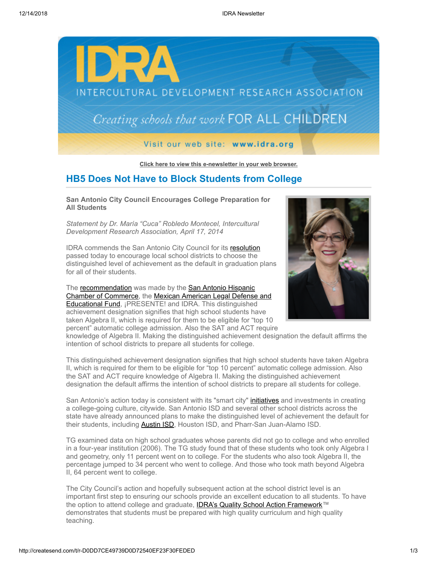

**[Click here to view this e-newsletter in your web browser.](http://newsletter.impulsedevelopment.com/t/r-e-xehkld-l-r/)**

# **HB5 Does Not Have to Block Students from College**

### **San Antonio City Council Encourages College Preparation for All Students**

*Statement by Dr. María "Cuca" Robledo Montecel, Intercultural Development Research Association, April 17, 2014*

IDRA commends the San Antonio City Council for its [resolution](http://idra.createsend1.com/t/r-l-xehkld-l-i/) passed today to encourage local school districts to choose the distinguished level of achievement as the default in graduation plans for all of their students.

The [recommendation](http://idra.createsend1.com/t/r-l-xehkld-l-d/) was made by the San Antonio Hispanic [Chamber of Commerce, the Mexican American Legal Defense and](http://idra.createsend1.com/t/r-l-xehkld-l-b/) Educational Fund, ¡PRESENTE! and IDRA. This distinguished achievement designation signifies that high school students have taken Algebra II, which is required for them to be eligible for "top 10 percent" automatic college admission. Also the SAT and ACT require



knowledge of Algebra II. Making the distinguished achievement designation the default affirms the intention of school districts to prepare all students for college.

This distinguished achievement designation signifies that high school students have taken Algebra II, which is required for them to be eligible for "top 10 percent" automatic college admission. Also the SAT and ACT require knowledge of Algebra II. Making the distinguished achievement designation the default affirms the intention of school districts to prepare all students for college.

San Antonio's action today is consistent with its "smart city" *[initiatives](http://idra.createsend1.com/t/r-l-xehkld-l-n/)* and investments in creating a college-going culture, citywide. San Antonio ISD and several other school districts across the state have already announced plans to make the distinguished level of achievement the default for their students, including [Austin ISD,](http://idra.createsend1.com/t/r-l-xehkld-l-p/) Houston ISD, and Pharr-San Juan-Alamo ISD.

TG examined data on high school graduates whose parents did not go to college and who enrolled in a four-year institution (2006). The TG study found that of these students who took only Algebra I and geometry, only 11 percent went on to college. For the students who also took Algebra II, the percentage jumped to 34 percent who went to college. And those who took math beyond Algebra II, 64 percent went to college.

The City Council's action and hopefully subsequent action at the school district level is an important first step to ensuring our schools provide an excellent education to all students. To have the option to attend college and graduate, **IDRA's Quality School Action Framework**™ demonstrates that students must be prepared with high quality curriculum and high quality teaching.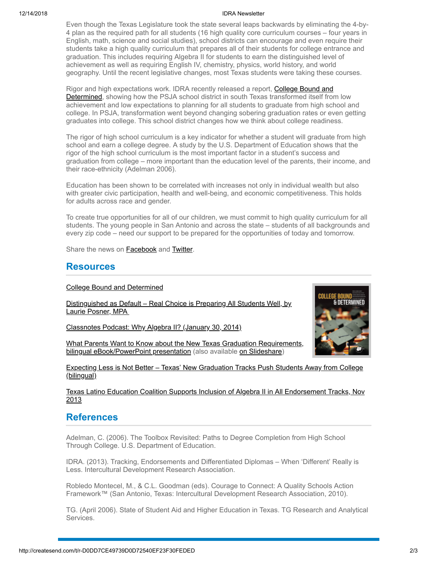#### 12/14/2018 IDRA Newsletter

Even though the Texas Legislature took the state several leaps backwards by eliminating the 4-by-4 plan as the required path for all students (16 high quality core curriculum courses – four years in English, math, science and social studies), school districts can encourage and even require their students take a high quality curriculum that prepares all of their students for college entrance and graduation. This includes requiring Algebra II for students to earn the distinguished level of achievement as well as requiring English IV, chemistry, physics, world history, and world geography. Until the recent legislative changes, most Texas students were taking these courses.

Rigor and high expectations work. IDRA recently released a report, **College Bound and** Determined, showing how the PSJA school district in south Texas transformed itself from low achievement and low expectations to planning for all students to graduate from high school and college. In PSJA, transformation went beyond changing sobering graduation rates or even getting graduates into college. This school district changes how we think about college readiness.

The rigor of high school curriculum is a key indicator for whether a student will graduate from high school and earn a college degree. A study by the U.S. Department of Education shows that the rigor of the high school curriculum is the most important factor in a student's success and graduation from college – more important than the education level of the parents, their income, and their race-ethnicity (Adelman 2006).

Education has been shown to be correlated with increases not only in individual wealth but also with greater civic participation, health and well-being, and economic competitiveness. This holds for adults across race and gender.

To create true opportunities for all of our children, we must commit to high quality curriculum for all students. The young people in San Antonio and across the state – students of all backgrounds and every zip code – need our support to be prepared for the opportunities of today and tomorrow.

Share the news on **[Facebook](http://createsend.com/t/r-fb-xehkld-l-w/?act=wv)** and **Twitter**.

## **Resources**

[College Bound and Determined](http://idra.createsend1.com/t/r-l-xehkld-l-c/)

[Distinguished as Default – Real Choice is Preparing All Students Well, by](http://idra.createsend1.com/t/r-l-xehkld-l-q/) Laurie Posner, MPA

[Classnotes Podcast: Why Algebra II? \(January 30, 2014\)](http://idra.createsend1.com/t/r-l-xehkld-l-a/)

[What Parents Want to Know about the New Texas Graduation Requirements,](http://idra.createsend1.com/t/r-l-xehkld-l-f/) bilingual eBook/PowerPoint presentation (also available [on Slideshare](http://idra.createsend1.com/t/r-l-xehkld-l-z/))



[Expecting Less is Not Better – Texas' New Graduation Tracks Push Students Away from College](http://idra.createsend1.com/t/r-l-xehkld-l-v/) (bilingual)

### [Texas Latino Education Coalition Supports Inclusion of Algebra II in All Endorsement Tracks, Nov](http://idra.createsend1.com/t/r-l-xehkld-l-e/) 2013

# **References**

Adelman, C. (2006). The Toolbox Revisited: Paths to Degree Completion from High School Through College. U.S. Department of Education.

IDRA. (2013). Tracking, Endorsements and Differentiated Diplomas – When 'Different' Really is Less. Intercultural Development Research Association.

Robledo Montecel, M., & C.L. Goodman (eds). Courage to Connect: A Quality Schools Action Framework™ (San Antonio, Texas: Intercultural Development Research Association, 2010).

TG. (April 2006). State of Student Aid and Higher Education in Texas. TG Research and Analytical Services.